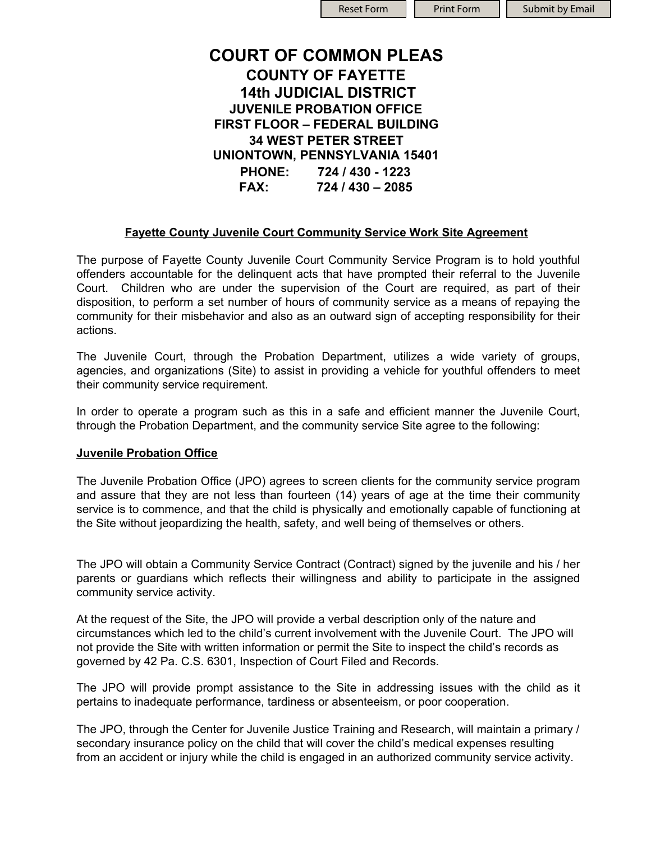| <b>Reset For</b> |  |
|------------------|--|
|                  |  |

m || Print Form || Submit by Email

# **COURT OF COMMON PLEAS COUNTY OF FAYETTE 14th JUDICIAL DISTRICT JUVENILE PROBATION OFFICE FIRST FLOOR – FEDERAL BUILDING 34 WEST PETER STREET UNIONTOWN, PENNSYLVANIA 15401 PHONE: 724 / 430 - 1223 FAX: 724 / 430 – 2085**

## **Fayette County Juvenile Court Community Service Work Site Agreement**

The purpose of Fayette County Juvenile Court Community Service Program is to hold youthful offenders accountable for the delinquent acts that have prompted their referral to the Juvenile Court. Children who are under the supervision of the Court are required, as part of their disposition, to perform a set number of hours of community service as a means of repaying the community for their misbehavior and also as an outward sign of accepting responsibility for their actions.

The Juvenile Court, through the Probation Department, utilizes a wide variety of groups, agencies, and organizations (Site) to assist in providing a vehicle for youthful offenders to meet their community service requirement.

In order to operate a program such as this in a safe and efficient manner the Juvenile Court, through the Probation Department, and the community service Site agree to the following:

### **Juvenile Probation Office**

The Juvenile Probation Office (JPO) agrees to screen clients for the community service program and assure that they are not less than fourteen (14) years of age at the time their community service is to commence, and that the child is physically and emotionally capable of functioning at the Site without jeopardizing the health, safety, and well being of themselves or others.

The JPO will obtain a Community Service Contract (Contract) signed by the juvenile and his / her parents or guardians which reflects their willingness and ability to participate in the assigned community service activity.

At the request of the Site, the JPO will provide a verbal description only of the nature and circumstances which led to the child's current involvement with the Juvenile Court. The JPO will not provide the Site with written information or permit the Site to inspect the child's records as governed by 42 Pa. C.S. 6301, Inspection of Court Filed and Records.

The JPO will provide prompt assistance to the Site in addressing issues with the child as it pertains to inadequate performance, tardiness or absenteeism, or poor cooperation.

The JPO, through the Center for Juvenile Justice Training and Research, will maintain a primary / secondary insurance policy on the child that will cover the child's medical expenses resulting from an accident or injury while the child is engaged in an authorized community service activity.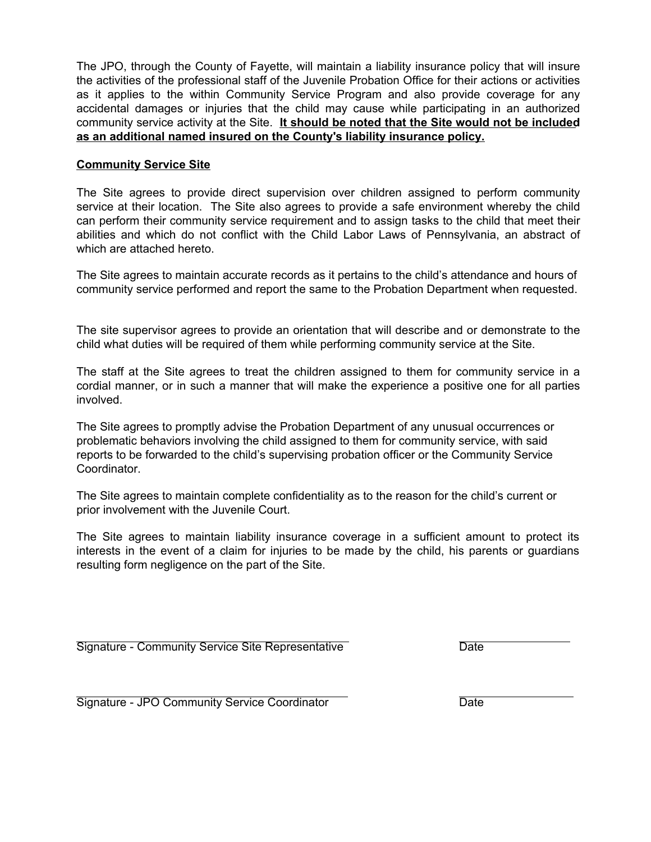The JPO, through the County of Fayette, will maintain a liability insurance policy that will insure the activities of the professional staff of the Juvenile Probation Office for their actions or activities as it applies to the within Community Service Program and also provide coverage for any accidental damages or injuries that the child may cause while participating in an authorized community service activity at the Site. **It should be noted that the Site would not be included as an additional named insured on the County's liability insurance policy.**

#### **Community Service Site**

The Site agrees to provide direct supervision over children assigned to perform community service at their location. The Site also agrees to provide a safe environment whereby the child can perform their community service requirement and to assign tasks to the child that meet their abilities and which do not conflict with the Child Labor Laws of Pennsylvania, an abstract of which are attached hereto.

The Site agrees to maintain accurate records as it pertains to the child's attendance and hours of community service performed and report the same to the Probation Department when requested.

The site supervisor agrees to provide an orientation that will describe and or demonstrate to the child what duties will be required of them while performing community service at the Site.

The staff at the Site agrees to treat the children assigned to them for community service in a cordial manner, or in such a manner that will make the experience a positive one for all parties involved.

The Site agrees to promptly advise the Probation Department of any unusual occurrences or problematic behaviors involving the child assigned to them for community service, with said reports to be forwarded to the child's supervising probation officer or the Community Service Coordinator.

The Site agrees to maintain complete confidentiality as to the reason for the child's current or prior involvement with the Juvenile Court.

The Site agrees to maintain liability insurance coverage in a sufficient amount to protect its interests in the event of a claim for injuries to be made by the child, his parents or guardians resulting form negligence on the part of the Site.

Signature - Community Service Site Representative **Date** Date

Signature - JPO Community Service Coordinator **Date**